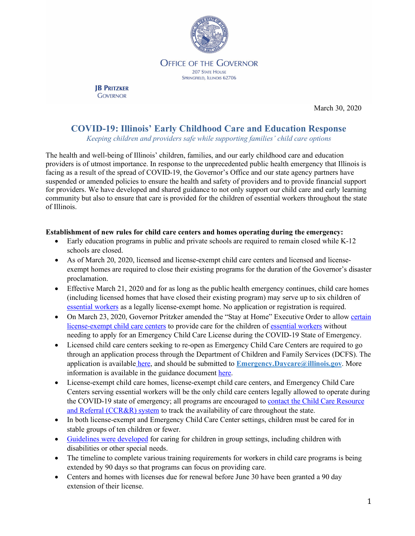

#### **OFFICE OF THE GOVERNOR 207 STATE HOUSE** SPRINGFIELD, ILLINOIS 62706

**JB PRITZKER GOVERNOR** 

March 30, 2020

# **COVID-19: Illinois' Early Childhood Care and Education Response**

*Keeping children and providers safe while supporting families' child care options*

The health and well-being of Illinois' children, families, and our early childhood care and education providers is of utmost importance. In response to the unprecedented public health emergency that Illinois is facing as a result of the spread of COVID-19, the Governor's Office and our state agency partners have suspended or amended policies to ensure the health and safety of providers and to provide financial support for providers. We have developed and shared guidance to not only support our child care and early learning community but also to ensure that care is provided for the children of essential workers throughout the state of Illinois.

### **Establishment of new rules for child care centers and homes operating during the emergency:**

- Early education programs in public and private schools are required to remain closed while K-12 schools are closed.
- As of March 20, 2020, licensed and license-exempt child care centers and licensed and licenseexempt homes are required to close their existing programs for the duration of the Governor's disaster proclamation.
- Effective March 21, 2020 and for as long as the public health emergency continues, child care homes (including licensed homes that have closed their existing program) may serve up to six children of essential workers as a legally license-exempt home. No application or registration is required.
- On March 23, 2020, Governor Pritzker amended the "Stay at Home" Executive Order to allow certain license-exempt child care centers to provide care for the children of essential workers without needing to apply for an Emergency Child Care License during the COVID-19 State of Emergency.
- Licensed child care centers seeking to re-open as Emergency Child Care Centers are required to go through an application process through the Department of Children and Family Services (DCFS). The application is available here, and should be submitted to **Emergency.Daycare@illinois.gov**. More information is available in the guidance document here.
- License-exempt child care homes, license-exempt child care centers, and Emergency Child Care Centers serving essential workers will be the only child care centers legally allowed to operate during the COVID-19 state of emergency; all programs are encouraged to contact the Child Care Resource and Referral (CCR&R) system to track the availability of care throughout the state.
- In both license-exempt and Emergency Child Care Center settings, children must be cared for in stable groups of ten children or fewer.
- Guidelines were developed for caring for children in group settings, including children with disabilities or other special needs.
- The timeline to complete various training requirements for workers in child care programs is being extended by 90 days so that programs can focus on providing care.
- Centers and homes with licenses due for renewal before June 30 have been granted a 90 day extension of their license.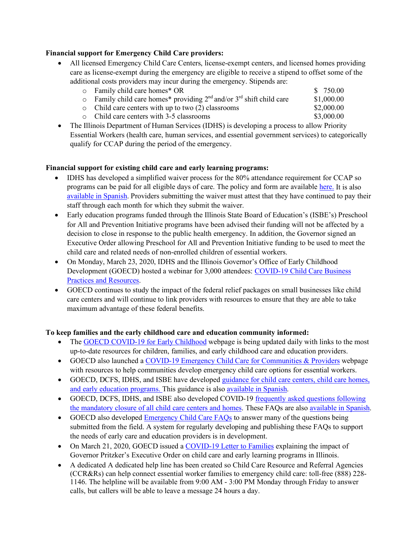### **Financial support for Emergency Child Care providers:**

- All licensed Emergency Child Care Centers, license-exempt centers, and licensed homes providing care as license-exempt during the emergency are eligible to receive a stipend to offset some of the additional costs providers may incur during the emergency. Stipends are:
	-
	- $\circ$  Family child care homes\* OR <br>  $\circ$  Family child care homes\* providing 2<sup>nd</sup> and/or 3<sup>rd</sup> shift child care \$1,000,00
	- o Family child care homes\* providing  $2^{nd}$  and/or  $3^{rd}$  shift child care \$1,000.00<br>
	o Child care centers with up to two (2) classrooms \$2,000.00 o Child care centers with up to two (2) classrooms \$2,000.00<br>
	o Child care centers with 3-5 classrooms \$3,000.00
	- $\circ$  Child care centers with 3-5 classrooms
- The Illinois Department of Human Services (IDHS) is developing a process to allow Priority Essential Workers (health care, human services, and essential government services) to categorically qualify for CCAP during the period of the emergency.

#### **Financial support for existing child care and early learning programs:**

- IDHS has developed a simplified waiver process for the 80% attendance requirement for CCAP so programs can be paid for all eligible days of care. The policy and form are available here. It is also available in Spanish. Providers submitting the waiver must attest that they have continued to pay their staff through each month for which they submit the waiver.
- Early education programs funded through the Illinois State Board of Education's (ISBE's) Preschool for All and Prevention Initiative programs have been advised their funding will not be affected by a decision to close in response to the public health emergency. In addition, the Governor signed an Executive Order allowing Preschool for All and Prevention Initiative funding to be used to meet the child care and related needs of non-enrolled children of essential workers.
- On Monday, March 23, 2020, IDHS and the Illinois Governor's Office of Early Childhood Development (GOECD) hosted a webinar for 3,000 attendees: COVID-19 Child Care Business Practices and Resources.
- GOECD continues to study the impact of the federal relief packages on small businesses like child care centers and will continue to link providers with resources to ensure that they are able to take maximum advantage of these federal benefits.

### **To keep families and the early childhood care and education community informed:**

- The GOECD COVID-19 for Early Childhood webpage is being updated daily with links to the most up-to-date resources for children, families, and early childhood care and education providers.
- GOECD also launched a COVID-19 Emergency Child Care for Communities & Providers webpage with resources to help communities develop emergency child care options for essential workers.
- GOECD, DCFS, IDHS, and ISBE have developed guidance for child care centers, child care homes, and early education programs. This guidance is also available in Spanish.
- GOECD, DCFS, IDHS, and ISBE also developed COVID-19 frequently asked questions following the mandatory closure of all child care centers and homes. These FAQs are also available in Spanish.
- GOECD also developed Emergency Child Care FAQs to answer many of the questions being submitted from the field. A system for regularly developing and publishing these FAQs to support the needs of early care and education providers is in development.
- On March 21, 2020, GOECD issued a COVID-19 Letter to Families explaining the impact of Governor Pritzker's Executive Order on child care and early learning programs in Illinois.
- A dedicated A dedicated help line has been created so Child Care Resource and Referral Agencies (CCR&Rs) can help connect essential worker families to emergency child care: toll-free (888) 228- 1146. The helpline will be available from 9:00 AM - 3:00 PM Monday through Friday to answer calls, but callers will be able to leave a message 24 hours a day.